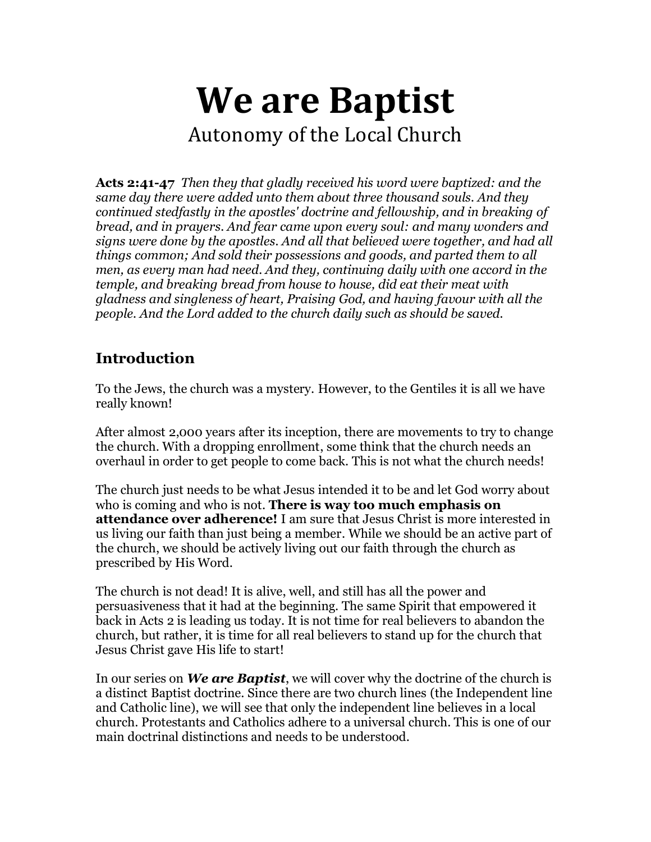# **We are Baptist** Autonomy of the Local Church

**Acts 2:41-47** *Then they that gladly received his word were baptized: and the same day there were added unto them about three thousand souls. And they continued stedfastly in the apostles' doctrine and fellowship, and in breaking of bread, and in prayers. And fear came upon every soul: and many wonders and signs were done by the apostles. And all that believed were together, and had all things common; And sold their possessions and goods, and parted them to all men, as every man had need. And they, continuing daily with one accord in the temple, and breaking bread from house to house, did eat their meat with gladness and singleness of heart, Praising God, and having favour with all the people. And the Lord added to the church daily such as should be saved.*

## **Introduction**

To the Jews, the church was a mystery. However, to the Gentiles it is all we have really known!

After almost 2,000 years after its inception, there are movements to try to change the church. With a dropping enrollment, some think that the church needs an overhaul in order to get people to come back. This is not what the church needs!

The church just needs to be what Jesus intended it to be and let God worry about who is coming and who is not. **There is way too much emphasis on attendance over adherence!** I am sure that Jesus Christ is more interested in us living our faith than just being a member. While we should be an active part of the church, we should be actively living out our faith through the church as prescribed by His Word.

The church is not dead! It is alive, well, and still has all the power and persuasiveness that it had at the beginning. The same Spirit that empowered it back in Acts 2 is leading us today. It is not time for real believers to abandon the church, but rather, it is time for all real believers to stand up for the church that Jesus Christ gave His life to start!

In our series on *We are Baptist*, we will cover why the doctrine of the church is a distinct Baptist doctrine. Since there are two church lines (the Independent line and Catholic line), we will see that only the independent line believes in a local church. Protestants and Catholics adhere to a universal church. This is one of our main doctrinal distinctions and needs to be understood.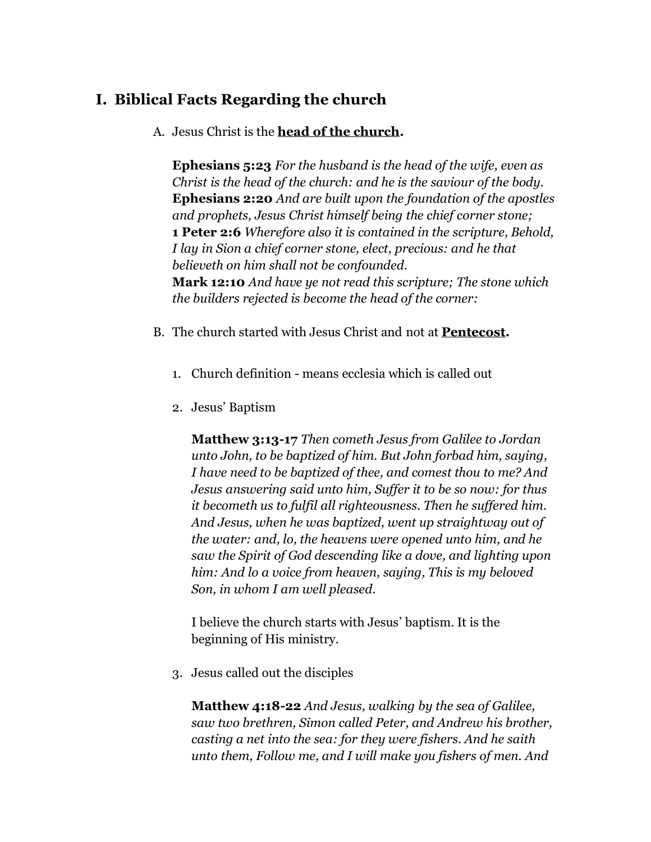## **I. Biblical Facts Regarding the church**

A. Jesus Christ is the **head of the church.**

**Ephesians 5:23** *For the husband is the head of the wife, even as Christ is the head of the church: and he is the saviour of the body.* **Ephesians 2:20** *And are built upon the foundation of the apostles and prophets, Jesus Christ himself being the chief corner stone;* **1 Peter 2:6** *Wherefore also it is contained in the scripture, Behold, I lay in Sion a chief corner stone, elect, precious: and he that believeth on him shall not be confounded.* **Mark 12:10** *And have ye not read this scripture; The stone which the builders rejected is become the head of the corner:*

- B. The church started with Jesus Christ and not at **Pentecost.**
	- 1. Church definition means ecclesia which is called out
	- 2. Jesus' Baptism

**Matthew 3:13-17** *Then cometh Jesus from Galilee to Jordan unto John, to be baptized of him. But John forbad him, saying, I have need to be baptized of thee, and comest thou to me? And Jesus answering said unto him, Suffer it to be so now: for thus it becometh us to fulfil all righteousness. Then he suffered him. And Jesus, when he was baptized, went up straightway out of the water: and, lo, the heavens were opened unto him, and he saw the Spirit of God descending like a dove, and lighting upon him: And lo a voice from heaven, saying, This is my beloved Son, in whom I am well pleased.*

I believe the church starts with Jesus' baptism. It is the beginning of His ministry.

3. Jesus called out the disciples

**Matthew 4:18-22** *And Jesus, walking by the sea of Galilee, saw two brethren, Simon called Peter, and Andrew his brother, casting a net into the sea: for they were fishers. And he saith unto them, Follow me, and I will make you fishers of men. And*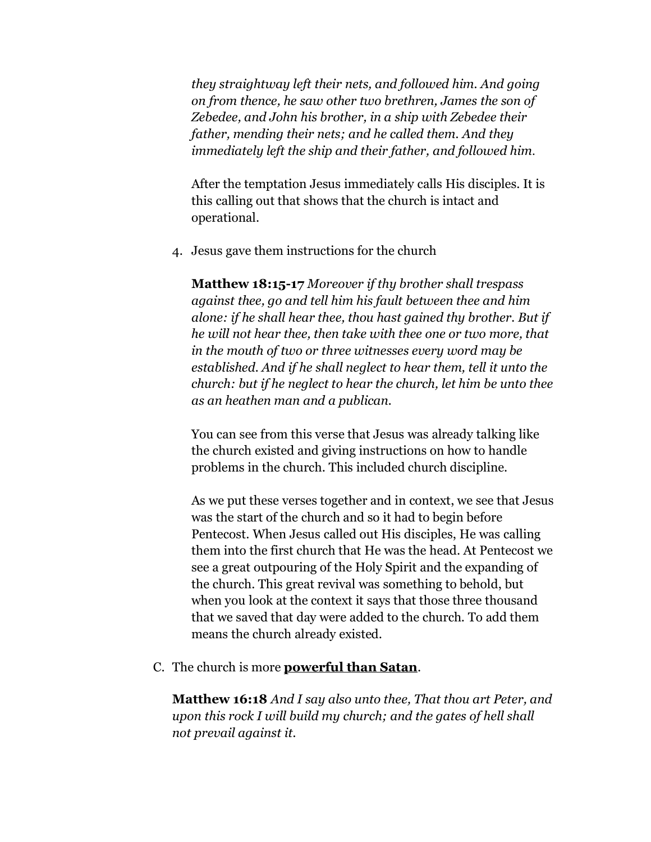*they straightway left their nets, and followed him. And going on from thence, he saw other two brethren, James the son of Zebedee, and John his brother, in a ship with Zebedee their father, mending their nets; and he called them. And they immediately left the ship and their father, and followed him.*

After the temptation Jesus immediately calls His disciples. It is this calling out that shows that the church is intact and operational.

4. Jesus gave them instructions for the church

**Matthew 18:15-17** *Moreover if thy brother shall trespass against thee, go and tell him his fault between thee and him alone: if he shall hear thee, thou hast gained thy brother. But if he will not hear thee, then take with thee one or two more, that in the mouth of two or three witnesses every word may be established. And if he shall neglect to hear them, tell it unto the church: but if he neglect to hear the church, let him be unto thee as an heathen man and a publican.*

You can see from this verse that Jesus was already talking like the church existed and giving instructions on how to handle problems in the church. This included church discipline.

As we put these verses together and in context, we see that Jesus was the start of the church and so it had to begin before Pentecost. When Jesus called out His disciples, He was calling them into the first church that He was the head. At Pentecost we see a great outpouring of the Holy Spirit and the expanding of the church. This great revival was something to behold, but when you look at the context it says that those three thousand that we saved that day were added to the church. To add them means the church already existed.

C. The church is more **powerful than Satan**.

**Matthew 16:18** *And I say also unto thee, That thou art Peter, and upon this rock I will build my church; and the gates of hell shall not prevail against it.*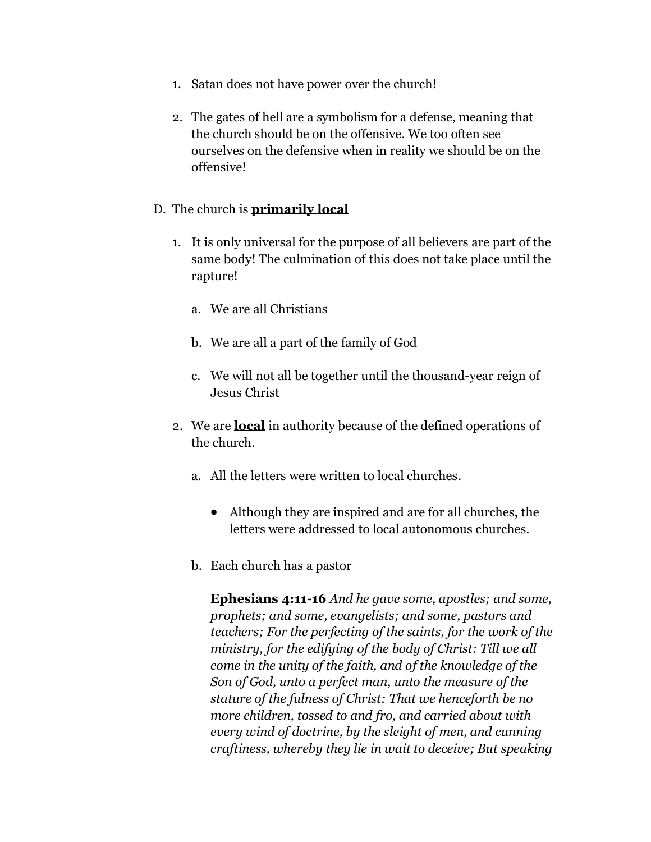- 1. Satan does not have power over the church!
- 2. The gates of hell are a symbolism for a defense, meaning that the church should be on the offensive. We too often see ourselves on the defensive when in reality we should be on the offensive!

#### D. The church is **primarily local**

- 1. It is only universal for the purpose of all believers are part of the same body! The culmination of this does not take place until the rapture!
	- a. We are all Christians
	- b. We are all a part of the family of God
	- c. We will not all be together until the thousand-year reign of Jesus Christ
- 2. We are **local** in authority because of the defined operations of the church.
	- a. All the letters were written to local churches.
		- Although they are inspired and are for all churches, the letters were addressed to local autonomous churches.
	- b. Each church has a pastor

**Ephesians 4:11-16** *And he gave some, apostles; and some, prophets; and some, evangelists; and some, pastors and teachers; For the perfecting of the saints, for the work of the ministry, for the edifying of the body of Christ: Till we all come in the unity of the faith, and of the knowledge of the Son of God, unto a perfect man, unto the measure of the stature of the fulness of Christ: That we henceforth be no more children, tossed to and fro, and carried about with every wind of doctrine, by the sleight of men, and cunning craftiness, whereby they lie in wait to deceive; But speaking*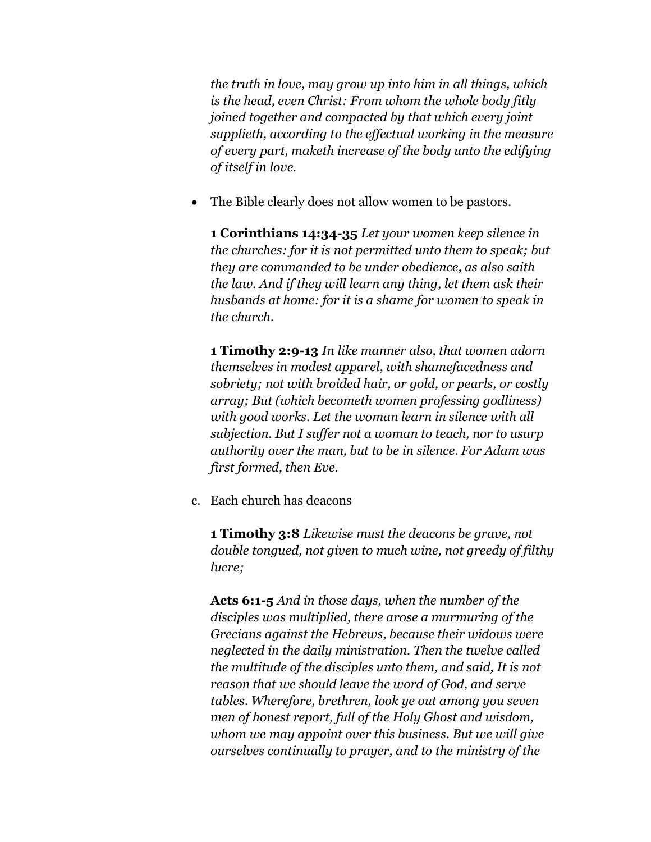*the truth in love, may grow up into him in all things, which is the head, even Christ: From whom the whole body fitly joined together and compacted by that which every joint supplieth, according to the effectual working in the measure of every part, maketh increase of the body unto the edifying of itself in love.*

The Bible clearly does not allow women to be pastors.

**1 Corinthians 14:34-35** *Let your women keep silence in the churches: for it is not permitted unto them to speak; but they are commanded to be under obedience, as also saith the law. And if they will learn any thing, let them ask their husbands at home: for it is a shame for women to speak in the church.*

**1 Timothy 2:9-13** *In like manner also, that women adorn themselves in modest apparel, with shamefacedness and sobriety; not with broided hair, or gold, or pearls, or costly array; But (which becometh women professing godliness) with good works. Let the woman learn in silence with all subjection. But I suffer not a woman to teach, nor to usurp authority over the man, but to be in silence. For Adam was first formed, then Eve.*

c. Each church has deacons

**1 Timothy 3:8** *Likewise must the deacons be grave, not double tongued, not given to much wine, not greedy of filthy lucre;*

**Acts 6:1-5** *And in those days, when the number of the disciples was multiplied, there arose a murmuring of the Grecians against the Hebrews, because their widows were neglected in the daily ministration. Then the twelve called the multitude of the disciples unto them, and said, It is not reason that we should leave the word of God, and serve tables. Wherefore, brethren, look ye out among you seven men of honest report, full of the Holy Ghost and wisdom, whom we may appoint over this business. But we will give ourselves continually to prayer, and to the ministry of the*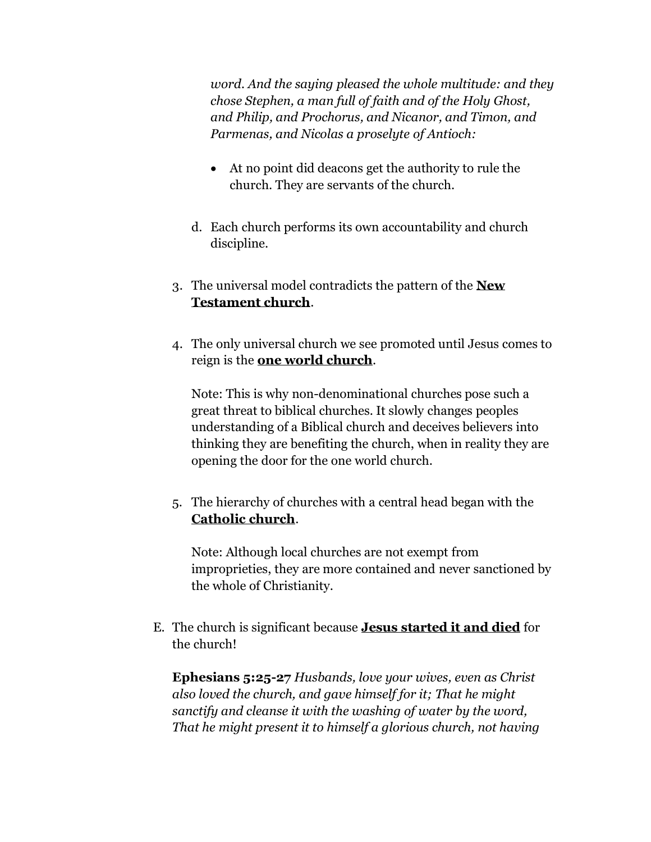*word. And the saying pleased the whole multitude: and they chose Stephen, a man full of faith and of the Holy Ghost, and Philip, and Prochorus, and Nicanor, and Timon, and Parmenas, and Nicolas a proselyte of Antioch:*

- At no point did deacons get the authority to rule the church. They are servants of the church.
- d. Each church performs its own accountability and church discipline.
- 3. The universal model contradicts the pattern of the **New Testament church**.
- 4. The only universal church we see promoted until Jesus comes to reign is the **one world church**.

Note: This is why non-denominational churches pose such a great threat to biblical churches. It slowly changes peoples understanding of a Biblical church and deceives believers into thinking they are benefiting the church, when in reality they are opening the door for the one world church.

5. The hierarchy of churches with a central head began with the **Catholic church**.

Note: Although local churches are not exempt from improprieties, they are more contained and never sanctioned by the whole of Christianity.

E. The church is significant because **Jesus started it and died** for the church!

**Ephesians 5:25-27** *Husbands, love your wives, even as Christ also loved the church, and gave himself for it; That he might sanctify and cleanse it with the washing of water by the word, That he might present it to himself a glorious church, not having*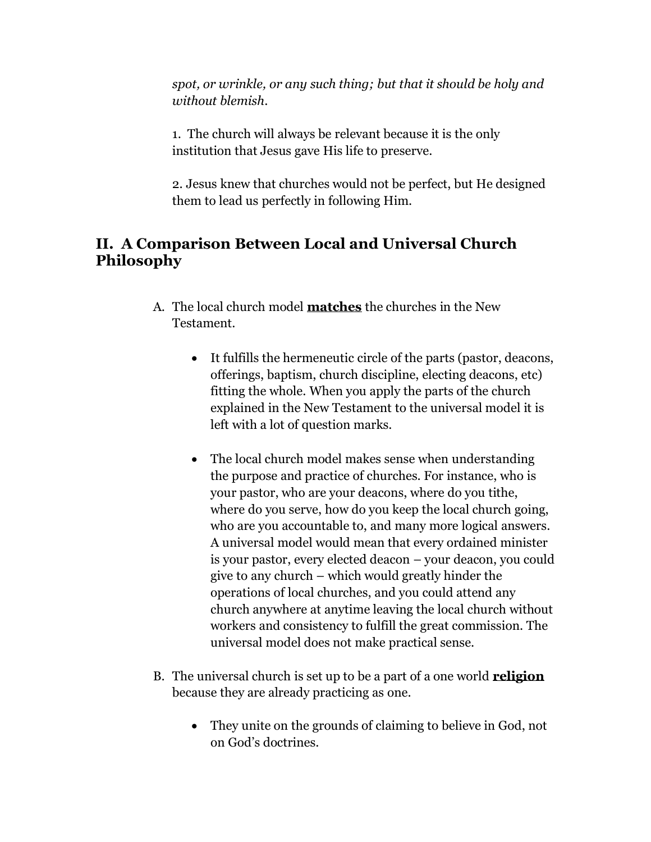*spot, or wrinkle, or any such thing; but that it should be holy and without blemish*.

1. The church will always be relevant because it is the only institution that Jesus gave His life to preserve.

2. Jesus knew that churches would not be perfect, but He designed them to lead us perfectly in following Him.

## **II. A Comparison Between Local and Universal Church Philosophy**

- A. The local church model **matches** the churches in the New Testament.
	- It fulfills the hermeneutic circle of the parts (pastor, deacons, offerings, baptism, church discipline, electing deacons, etc) fitting the whole. When you apply the parts of the church explained in the New Testament to the universal model it is left with a lot of question marks.
	- The local church model makes sense when understanding the purpose and practice of churches. For instance, who is your pastor, who are your deacons, where do you tithe, where do you serve, how do you keep the local church going, who are you accountable to, and many more logical answers. A universal model would mean that every ordained minister is your pastor, every elected deacon – your deacon, you could give to any church – which would greatly hinder the operations of local churches, and you could attend any church anywhere at anytime leaving the local church without workers and consistency to fulfill the great commission. The universal model does not make practical sense.
- B. The universal church is set up to be a part of a one world **religion** because they are already practicing as one.
	- They unite on the grounds of claiming to believe in God, not on God's doctrines.